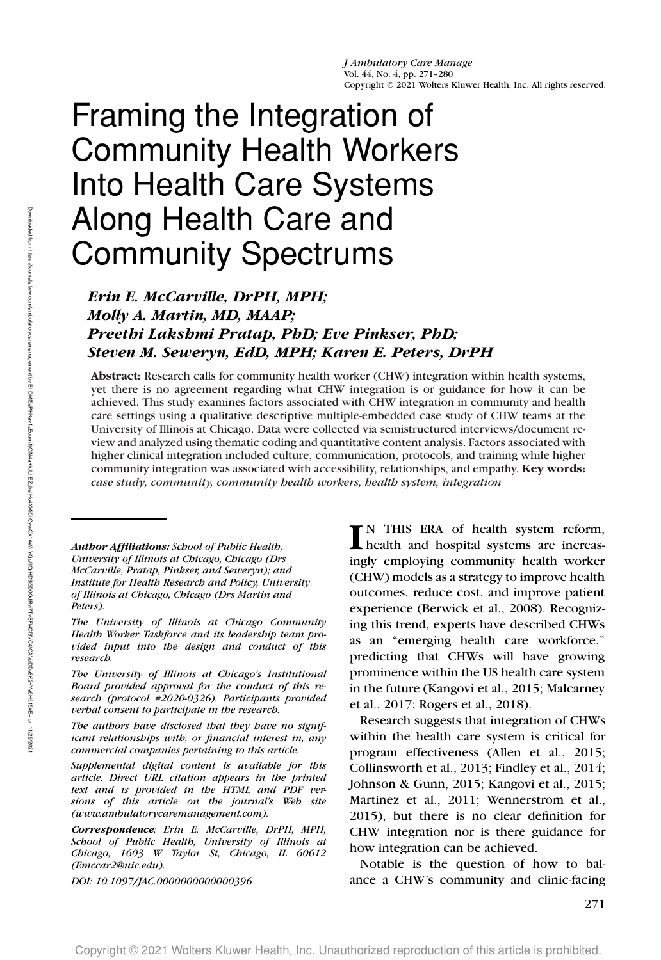# Framing the Integration of Community Health Workers Into Health Care Systems Along Health Care and Community Spectrums

# *Erin E. McCarville, DrPH, MPH; Molly A. Martin, MD, MAAP; Preethi Lakshmi Pratap, PhD; Eve Pinkser, PhD; Steven M. Seweryn, EdD, MPH; Karen E. Peters, DrPH*

**Abstract:** Research calls for community health worker (CHW) integration within health systems, yet there is no agreement regarding what CHW integration is or guidance for how it can be achieved. This study examines factors associated with CHW integration in community and health care settings using a qualitative descriptive multiple-embedded case study of CHW teams at the University of Illinois at Chicago. Data were collected via semistructured interviews/document review and analyzed using thematic coding and quantitative content analysis. Factors associated with higher clinical integration included culture, communication, protocols, and training while higher community integration was associated with accessibility, relationships, and empathy. **Key words:** *case study, community, community health workers, health system, integration*

*Author Affiliations: School of Public Health, University of Illinois at Chicago, Chicago (Drs McCarville, Pratap, Pinkser, and Seweryn); and Institute for Health Research and Policy, University of Illinois at Chicago, Chicago (Drs Martin and Peters).*

*The University of Illinois at Chicago Community Health Worker Taskforce and its leadership team provided input into the design and conduct of this research.*

*The University of Illinois at Chicago's Institutional Board provided approval for the conduct of this research (protocol #2020-0326). Participants provided verbal consent to participate in the research.*

*The authors have disclosed that they have no significant relationships with, or financial interest in, any commercial companies pertaining to this article.*

*Supplemental digital content is available for this article. Direct URL citation appears in the printed text and is provided in the HTML and PDF versions of this article on the journal's Web site (www.ambulatorycaremanagement.com).*

*Correspondence: Erin E. McCarville, DrPH, MPH, School of Public Health, University of Illinois at Chicago, 1603 W Taylor St, Chicago, IL 60612 [\(Emccar2@uic.edu\)](mailto:Emccar2@uic.edu).*

*DOI: 10.1097/JAC.0000000000000396*

**I** N THIS ERA of health system reform, health and hospital systems are increasingly employing community health worker (CHW) models as a strategy to improve health outcomes, reduce cost, and improve patient experience (Berwick et al., 2008). Recognizing this trend, experts have described CHWs as an "emerging health care workforce," predicting that CHWs will have growing prominence within the US health care system in the future (Kangovi et al., 2015; Malcarney et al., 2017; Rogers et al., 2018).

Research suggests that integration of CHWs within the health care system is critical for program effectiveness (Allen et al., 2015; Collinsworth et al., 2013; Findley et al., 2014; Johnson & Gunn, 2015; Kangovi et al., 2015; Martinez et al., 2011; Wennerstrom et al., 2015), but there is no clear definition for CHW integration nor is there guidance for how integration can be achieved.

Notable is the question of how to balance a CHW's community and clinic-facing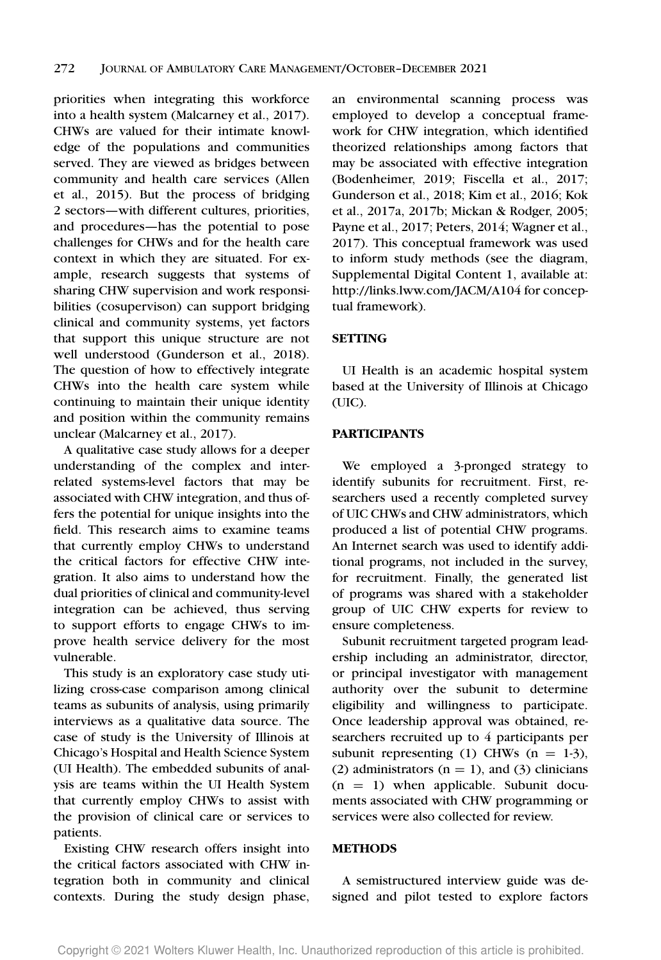priorities when integrating this workforce into a health system (Malcarney et al., 2017). CHWs are valued for their intimate knowledge of the populations and communities served. They are viewed as bridges between community and health care services (Allen et al., 2015). But the process of bridging 2 sectors—with different cultures, priorities, and procedures—has the potential to pose challenges for CHWs and for the health care context in which they are situated. For example, research suggests that systems of sharing CHW supervision and work responsibilities (cosupervison) can support bridging clinical and community systems, yet factors that support this unique structure are not well understood (Gunderson et al., 2018). The question of how to effectively integrate CHWs into the health care system while continuing to maintain their unique identity and position within the community remains unclear (Malcarney et al., 2017).

A qualitative case study allows for a deeper understanding of the complex and interrelated systems-level factors that may be associated with CHW integration, and thus offers the potential for unique insights into the field. This research aims to examine teams that currently employ CHWs to understand the critical factors for effective CHW integration. It also aims to understand how the dual priorities of clinical and community-level integration can be achieved, thus serving to support efforts to engage CHWs to improve health service delivery for the most vulnerable.

This study is an exploratory case study utilizing cross-case comparison among clinical teams as subunits of analysis, using primarily interviews as a qualitative data source. The case of study is the University of Illinois at Chicago's Hospital and Health Science System (UI Health). The embedded subunits of analysis are teams within the UI Health System that currently employ CHWs to assist with the provision of clinical care or services to patients.

Existing CHW research offers insight into the critical factors associated with CHW integration both in community and clinical contexts. During the study design phase,

an environmental scanning process was employed to develop a conceptual framework for CHW integration, which identified theorized relationships among factors that may be associated with effective integration (Bodenheimer, 2019; Fiscella et al., 2017; Gunderson et al., 2018; Kim et al., 2016; Kok et al., 2017a, 2017b; Mickan & Rodger, 2005; Payne et al., 2017; Peters, 2014; Wagner et al., 2017). This conceptual framework was used to inform study methods (see the diagram, Supplemental Digital Content 1, available at: http://links.lww.com/JACM/A104 for conceptual framework).

### **SETTING**

UI Health is an academic hospital system based at the University of Illinois at Chicago (UIC).

# **PARTICIPANTS**

We employed a 3-pronged strategy to identify subunits for recruitment. First, researchers used a recently completed survey of UIC CHWs and CHW administrators, which produced a list of potential CHW programs. An Internet search was used to identify additional programs, not included in the survey, for recruitment. Finally, the generated list of programs was shared with a stakeholder group of UIC CHW experts for review to ensure completeness.

Subunit recruitment targeted program leadership including an administrator, director, or principal investigator with management authority over the subunit to determine eligibility and willingness to participate. Once leadership approval was obtained, researchers recruited up to 4 participants per subunit representing (1) CHWs  $(n = 1-3)$ , (2) administrators ( $n = 1$ ), and (3) clinicians  $(n = 1)$  when applicable. Subunit documents associated with CHW programming or services were also collected for review.

### **METHODS**

A semistructured interview guide was designed and pilot tested to explore factors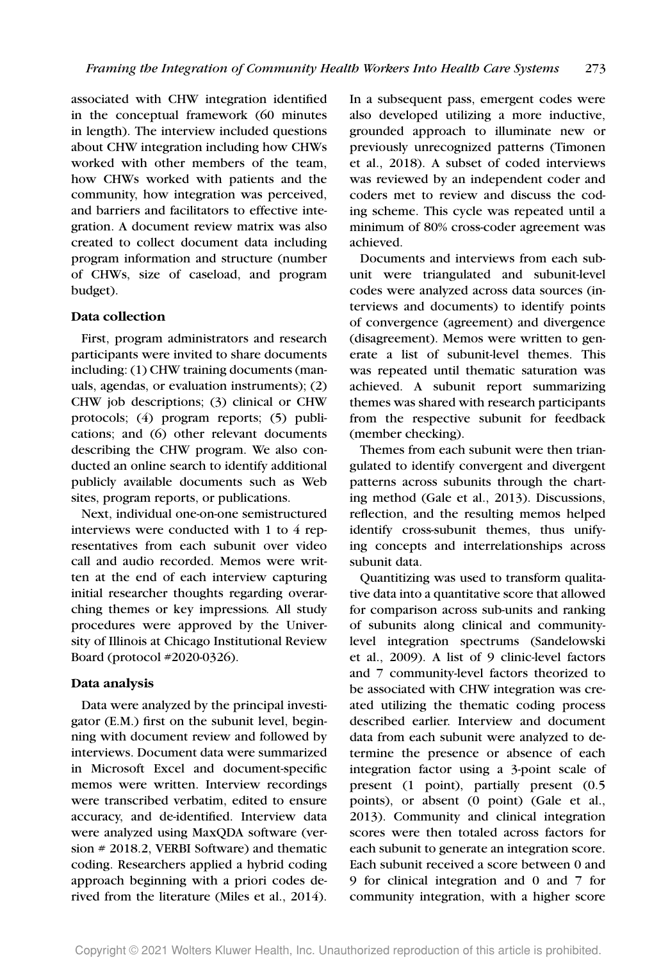associated with CHW integration identified in the conceptual framework (60 minutes in length). The interview included questions about CHW integration including how CHWs worked with other members of the team, how CHWs worked with patients and the community, how integration was perceived, and barriers and facilitators to effective integration. A document review matrix was also created to collect document data including program information and structure (number of CHWs, size of caseload, and program budget).

#### **Data collection**

First, program administrators and research participants were invited to share documents including: (1) CHW training documents (manuals, agendas, or evaluation instruments); (2) CHW job descriptions; (3) clinical or CHW protocols; (4) program reports; (5) publications; and (6) other relevant documents describing the CHW program. We also conducted an online search to identify additional publicly available documents such as Web sites, program reports, or publications.

Next, individual one-on-one semistructured interviews were conducted with 1 to 4 representatives from each subunit over video call and audio recorded. Memos were written at the end of each interview capturing initial researcher thoughts regarding overarching themes or key impressions*.* All study procedures were approved by the University of Illinois at Chicago Institutional Review Board (protocol #2020-0326).

#### **Data analysis**

Data were analyzed by the principal investigator (E.M.) first on the subunit level, beginning with document review and followed by interviews. Document data were summarized in Microsoft Excel and document-specific memos were written. Interview recordings were transcribed verbatim, edited to ensure accuracy, and de-identified. Interview data were analyzed using MaxQDA software (version # 2018.2, VERBI Software) and thematic coding. Researchers applied a hybrid coding approach beginning with a priori codes derived from the literature (Miles et al., 2014). In a subsequent pass, emergent codes were also developed utilizing a more inductive, grounded approach to illuminate new or previously unrecognized patterns (Timonen et al., 2018). A subset of coded interviews was reviewed by an independent coder and coders met to review and discuss the coding scheme. This cycle was repeated until a minimum of 80% cross-coder agreement was achieved.

Documents and interviews from each subunit were triangulated and subunit-level codes were analyzed across data sources (interviews and documents) to identify points of convergence (agreement) and divergence (disagreement). Memos were written to generate a list of subunit-level themes. This was repeated until thematic saturation was achieved. A subunit report summarizing themes was shared with research participants from the respective subunit for feedback (member checking).

Themes from each subunit were then triangulated to identify convergent and divergent patterns across subunits through the charting method (Gale et al., 2013). Discussions, reflection, and the resulting memos helped identify cross-subunit themes, thus unifying concepts and interrelationships across subunit data.

Quantitizing was used to transform qualitative data into a quantitative score that allowed for comparison across sub-units and ranking of subunits along clinical and communitylevel integration spectrums (Sandelowski et al., 2009). A list of 9 clinic-level factors and 7 community-level factors theorized to be associated with CHW integration was created utilizing the thematic coding process described earlier. Interview and document data from each subunit were analyzed to determine the presence or absence of each integration factor using a 3-point scale of present (1 point), partially present (0.5 points), or absent (0 point) (Gale et al., 2013). Community and clinical integration scores were then totaled across factors for each subunit to generate an integration score. Each subunit received a score between 0 and 9 for clinical integration and 0 and 7 for community integration, with a higher score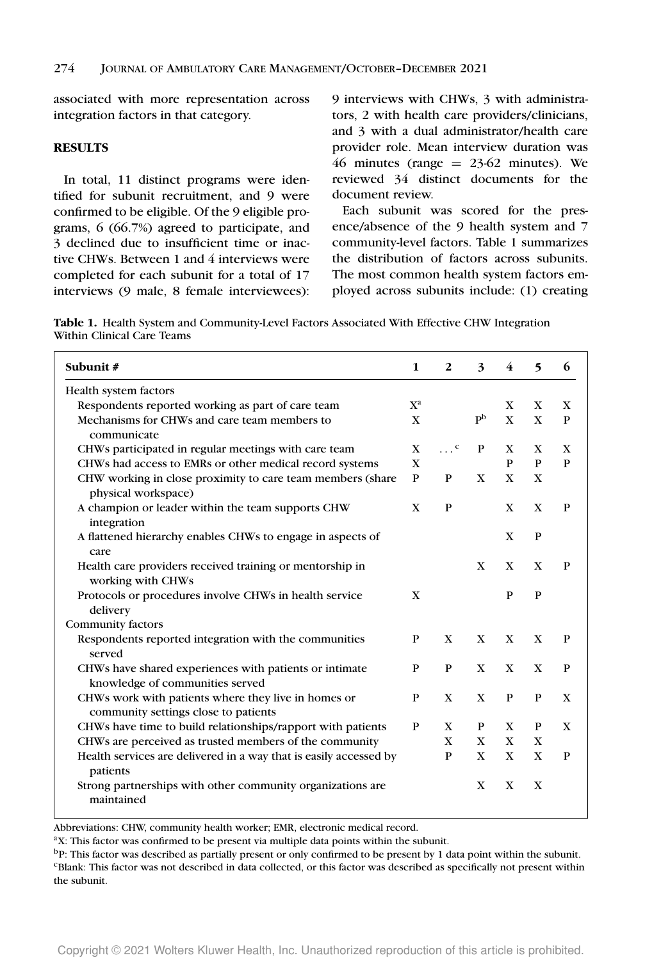associated with more representation across integration factors in that category.

#### **RESULTS**

In total, 11 distinct programs were identified for subunit recruitment, and 9 were confirmed to be eligible. Of the 9 eligible programs, 6 (66.7%) agreed to participate, and 3 declined due to insufficient time or inactive CHWs. Between 1 and 4 interviews were completed for each subunit for a total of 17 interviews (9 male, 8 female interviewees):

9 interviews with CHWs, 3 with administrators, 2 with health care providers/clinicians, and 3 with a dual administrator/health care provider role. Mean interview duration was 46 minutes (range  $= 23-62$  minutes). We reviewed 34 distinct documents for the document review.

Each subunit was scored for the presence/absence of the 9 health system and 7 community-level factors. Table 1 summarizes the distribution of factors across subunits. The most common health system factors employed across subunits include: (1) creating

**Table 1.** Health System and Community-Level Factors Associated With Effective CHW Integration Within Clinical Care Teams

| Subunit#                                                                                    | $\mathbf{1}$ | 2                     | $\boldsymbol{3}$          | 4            | $\overline{\phantom{0}}$ | 6 |
|---------------------------------------------------------------------------------------------|--------------|-----------------------|---------------------------|--------------|--------------------------|---|
| Health system factors                                                                       |              |                       |                           |              |                          |   |
| Respondents reported working as part of care team                                           | $X^a$        |                       |                           | X            | X                        | X |
| Mechanisms for CHWs and care team members to<br>communicate                                 | $\mathbf{X}$ |                       | $\mathbf{p}^{\mathrm{b}}$ | $\mathbf{x}$ | $\mathbf{x}$             | P |
| CHWs participated in regular meetings with care team                                        | X            | $\cdots$ <sup>c</sup> | P                         | X            | X                        | X |
| CHWs had access to EMRs or other medical record systems                                     | $\mathbf{X}$ |                       |                           | P            | P                        | P |
| CHW working in close proximity to care team members (share<br>physical workspace)           | P            | P                     | $\mathbf{x}$              | $\mathbf{X}$ | $\mathbf{X}$             |   |
| A champion or leader within the team supports CHW<br>integration                            | $\mathbf{X}$ | P                     |                           | $\mathbf{X}$ | $\mathbf{X}$             | P |
| A flattened hierarchy enables CHWs to engage in aspects of<br>care                          |              |                       |                           | X            | $\mathbf{P}$             |   |
| Health care providers received training or mentorship in<br>working with CHWs               |              |                       | $\mathbf{x}$              | $\mathbf{x}$ | $\mathbf{X}$             | P |
| Protocols or procedures involve CHWs in health service<br>delivery                          | X            |                       |                           | P            | P                        |   |
| Community factors                                                                           |              |                       |                           |              |                          |   |
| Respondents reported integration with the communities<br>served                             | $\mathbf{P}$ | $\mathbf{x}$          | $\mathbf{x}$              | $\mathbf{x}$ | $\mathbf{X}$             | P |
| CHWs have shared experiences with patients or intimate<br>knowledge of communities served   | P            | P                     | $\mathbf{x}$              | $\mathbf{x}$ | $\mathbf{x}$             | P |
| CHWs work with patients where they live in homes or<br>community settings close to patients | P            | $\mathbf{X}$          | $\mathbf{x}$              | P            | P                        | X |
| CHWs have time to build relationships/rapport with patients                                 | $\mathbf{P}$ | X                     | P                         | X            | P                        | X |
| CHWs are perceived as trusted members of the community                                      |              | X                     | X                         | X            | X                        |   |
| Health services are delivered in a way that is easily accessed by<br>patients               |              | $\mathbf{P}$          | $\mathbf{X}$              | X            | X                        | P |
| Strong partnerships with other community organizations are<br>maintained                    |              |                       | $\mathbf{x}$              | $\mathbf{X}$ | $\mathbf{X}$             |   |

Abbreviations: CHW, community health worker; EMR, electronic medical record.

<sup>a</sup>X: This factor was confirmed to be present via multiple data points within the subunit.

bP: This factor was described as partially present or only confirmed to be present by 1 data point within the subunit. <sup>c</sup>Blank: This factor was not described in data collected, or this factor was described as specifically not present within the subunit.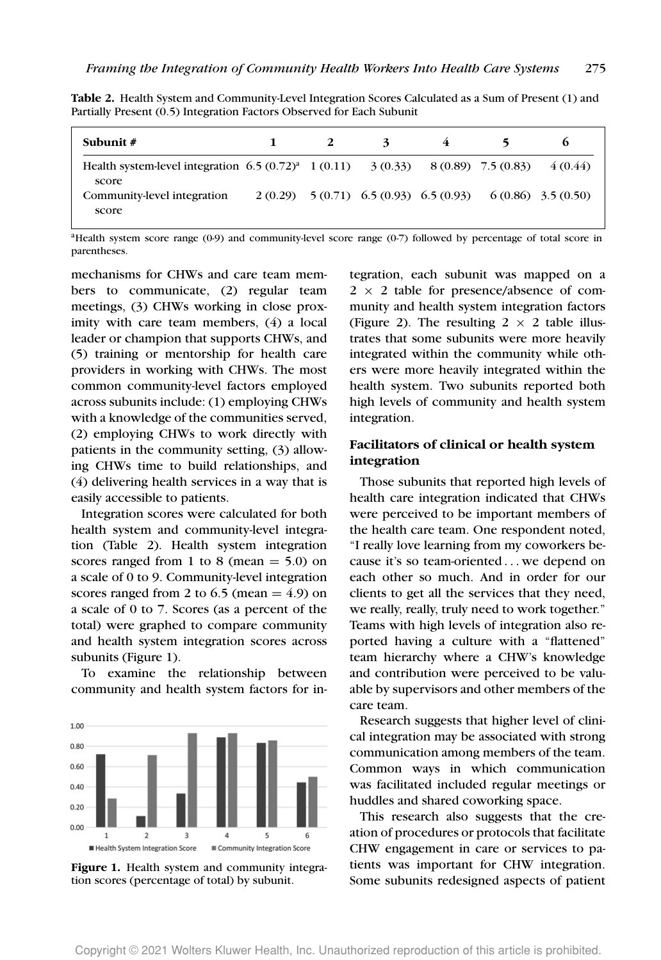|  | Table 2. Health System and Community-Level Integration Scores Calculated as a Sum of Present (1) and |  |  |
|--|------------------------------------------------------------------------------------------------------|--|--|
|  | Partially Present (0.5) Integration Factors Observed for Each Subunit                                |  |  |

| Subunit $#$                                                                                     |  | $\mathbf{z}$ | 4 | 5.                                                                |          |
|-------------------------------------------------------------------------------------------------|--|--------------|---|-------------------------------------------------------------------|----------|
| Health system-level integration $6.5(0.72)^{a}$ 1 (0.11) $3(0.33)$ 8 (0.89) 7.5 (0.83)<br>score |  |              |   |                                                                   | 4 (0.44) |
| Community-level integration<br>score                                                            |  |              |   | $2(0.29)$ $5(0.71)$ $6.5(0.93)$ $6.5(0.93)$ $6(0.86)$ $3.5(0.50)$ |          |

<sup>a</sup>Health system score range (0-9) and community-level score range (0-7) followed by percentage of total score in parentheses.

mechanisms for CHWs and care team members to communicate, (2) regular team meetings, (3) CHWs working in close proximity with care team members, (4) a local leader or champion that supports CHWs, and (5) training or mentorship for health care providers in working with CHWs. The most common community-level factors employed across subunits include: (1) employing CHWs with a knowledge of the communities served, (2) employing CHWs to work directly with patients in the community setting, (3) allowing CHWs time to build relationships, and (4) delivering health services in a way that is easily accessible to patients.

Integration scores were calculated for both health system and community-level integration (Table 2). Health system integration scores ranged from 1 to 8 (mean  $= 5.0$ ) on a scale of 0 to 9. Community-level integration scores ranged from 2 to 6.5 (mean  $= 4.9$ ) on a scale of 0 to 7. Scores (as a percent of the total) were graphed to compare community and health system integration scores across subunits (Figure 1).

To examine the relationship between community and health system factors for in-



**Figure 1.** Health system and community integration scores (percentage of total) by subunit.

tegration, each subunit was mapped on a  $2 \times 2$  table for presence/absence of community and health system integration factors (Figure 2). The resulting  $2 \times 2$  table illustrates that some subunits were more heavily integrated within the community while others were more heavily integrated within the health system. Two subunits reported both high levels of community and health system integration.

# **Facilitators of clinical or health system integration**

Those subunits that reported high levels of health care integration indicated that CHWs were perceived to be important members of the health care team. One respondent noted, "I really love learning from my coworkers because it's so team-oriented ... we depend on each other so much. And in order for our clients to get all the services that they need, we really, really, truly need to work together." Teams with high levels of integration also reported having a culture with a "flattened" team hierarchy where a CHW's knowledge and contribution were perceived to be valuable by supervisors and other members of the care team.

Research suggests that higher level of clinical integration may be associated with strong communication among members of the team. Common ways in which communication was facilitated included regular meetings or huddles and shared coworking space.

This research also suggests that the creation of procedures or protocols that facilitate CHW engagement in care or services to patients was important for CHW integration. Some subunits redesigned aspects of patient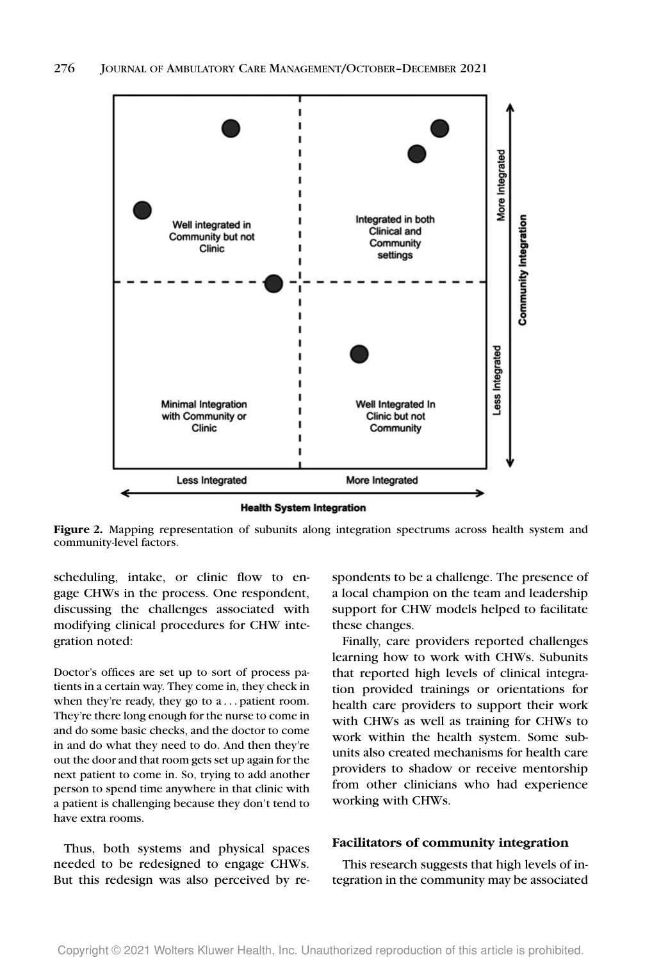

**Health System Integration** 

Figure 2. Mapping representation of subunits along integration spectrums across health system and community-level factors.

scheduling, intake, or clinic flow to engage CHWs in the process. One respondent, discussing the challenges associated with modifying clinical procedures for CHW integration noted:

Doctor's offices are set up to sort of process patients in a certain way. They come in, they check in when they're ready, they go to a . . . patient room. They're there long enough for the nurse to come in and do some basic checks, and the doctor to come in and do what they need to do. And then they're out the door and that room gets set up again for the next patient to come in. So, trying to add another person to spend time anywhere in that clinic with a patient is challenging because they don't tend to have extra rooms.

Thus, both systems and physical spaces needed to be redesigned to engage CHWs. But this redesign was also perceived by respondents to be a challenge. The presence of a local champion on the team and leadership support for CHW models helped to facilitate these changes.

Finally, care providers reported challenges learning how to work with CHWs. Subunits that reported high levels of clinical integration provided trainings or orientations for health care providers to support their work with CHWs as well as training for CHWs to work within the health system. Some subunits also created mechanisms for health care providers to shadow or receive mentorship from other clinicians who had experience working with CHWs.

#### **Facilitators of community integration**

This research suggests that high levels of integration in the community may be associated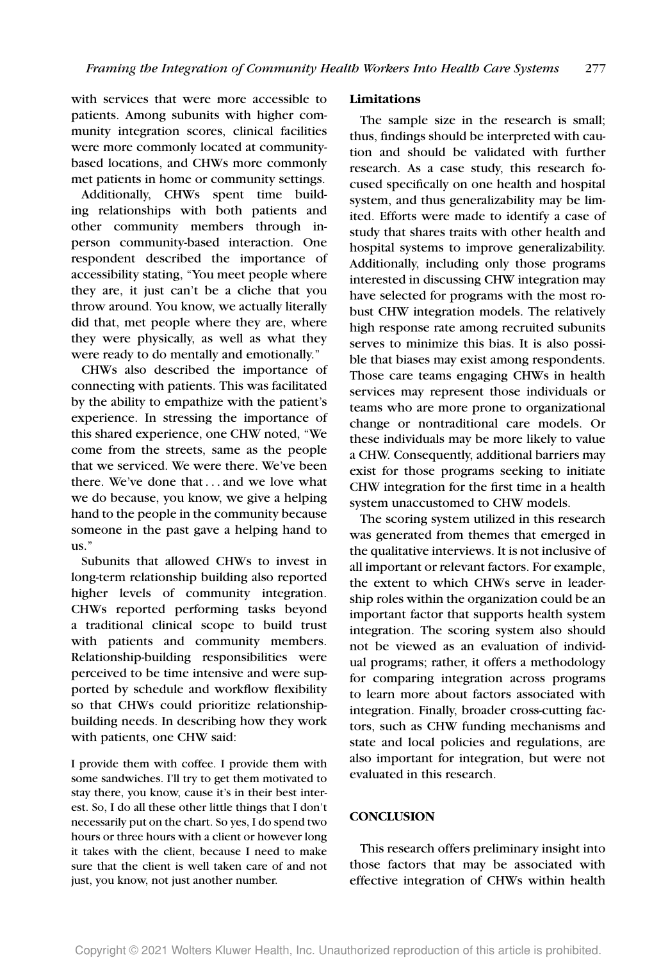with services that were more accessible to patients. Among subunits with higher community integration scores, clinical facilities were more commonly located at communitybased locations, and CHWs more commonly met patients in home or community settings.

Additionally, CHWs spent time building relationships with both patients and other community members through inperson community-based interaction. One respondent described the importance of accessibility stating, "You meet people where they are, it just can't be a cliche that you throw around. You know, we actually literally did that, met people where they are, where they were physically, as well as what they were ready to do mentally and emotionally."

CHWs also described the importance of connecting with patients. This was facilitated by the ability to empathize with the patient's experience. In stressing the importance of this shared experience, one CHW noted, "We come from the streets, same as the people that we serviced. We were there. We've been there. We've done that ... and we love what we do because, you know, we give a helping hand to the people in the community because someone in the past gave a helping hand to us."

Subunits that allowed CHWs to invest in long-term relationship building also reported higher levels of community integration. CHWs reported performing tasks beyond a traditional clinical scope to build trust with patients and community members. Relationship-building responsibilities were perceived to be time intensive and were supported by schedule and workflow flexibility so that CHWs could prioritize relationshipbuilding needs. In describing how they work with patients, one CHW said:

I provide them with coffee. I provide them with some sandwiches. I'll try to get them motivated to stay there, you know, cause it's in their best interest. So, I do all these other little things that I don't necessarily put on the chart. So yes, I do spend two hours or three hours with a client or however long it takes with the client, because I need to make sure that the client is well taken care of and not just, you know, not just another number.

#### **Limitations**

The sample size in the research is small; thus, findings should be interpreted with caution and should be validated with further research. As a case study, this research focused specifically on one health and hospital system, and thus generalizability may be limited. Efforts were made to identify a case of study that shares traits with other health and hospital systems to improve generalizability. Additionally, including only those programs interested in discussing CHW integration may have selected for programs with the most robust CHW integration models. The relatively high response rate among recruited subunits serves to minimize this bias. It is also possible that biases may exist among respondents. Those care teams engaging CHWs in health services may represent those individuals or teams who are more prone to organizational change or nontraditional care models. Or these individuals may be more likely to value a CHW. Consequently, additional barriers may exist for those programs seeking to initiate CHW integration for the first time in a health system unaccustomed to CHW models.

The scoring system utilized in this research was generated from themes that emerged in the qualitative interviews. It is not inclusive of all important or relevant factors. For example, the extent to which CHWs serve in leadership roles within the organization could be an important factor that supports health system integration. The scoring system also should not be viewed as an evaluation of individual programs; rather, it offers a methodology for comparing integration across programs to learn more about factors associated with integration. Finally, broader cross-cutting factors, such as CHW funding mechanisms and state and local policies and regulations, are also important for integration, but were not evaluated in this research.

### **CONCLUSION**

This research offers preliminary insight into those factors that may be associated with effective integration of CHWs within health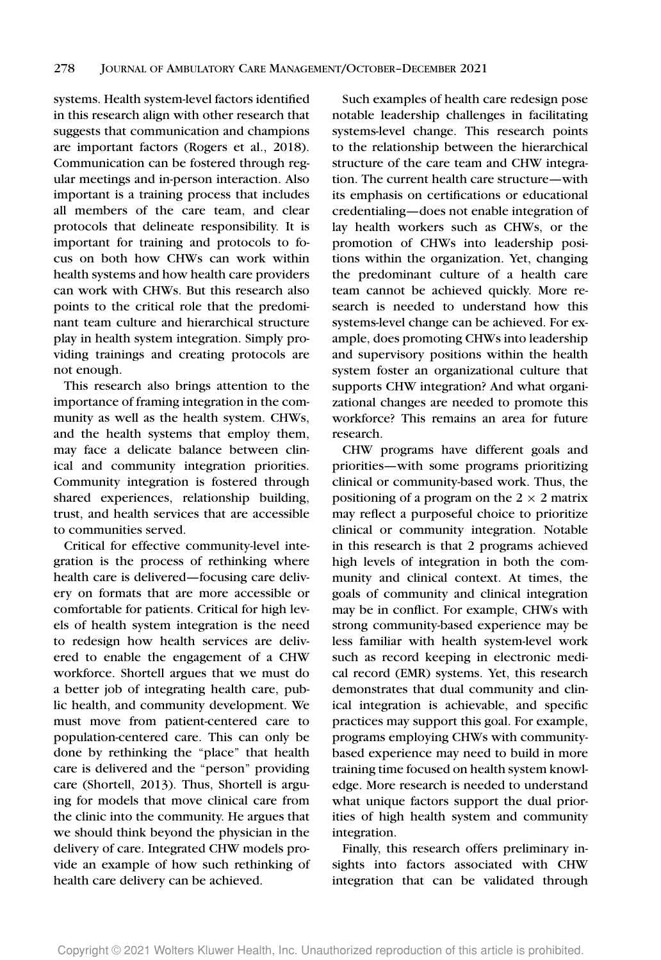systems. Health system-level factors identified in this research align with other research that suggests that communication and champions are important factors (Rogers et al., 2018). Communication can be fostered through regular meetings and in-person interaction. Also important is a training process that includes all members of the care team, and clear protocols that delineate responsibility. It is important for training and protocols to focus on both how CHWs can work within health systems and how health care providers can work with CHWs. But this research also points to the critical role that the predominant team culture and hierarchical structure play in health system integration. Simply providing trainings and creating protocols are not enough.

This research also brings attention to the importance of framing integration in the community as well as the health system. CHWs, and the health systems that employ them, may face a delicate balance between clinical and community integration priorities. Community integration is fostered through shared experiences, relationship building, trust, and health services that are accessible to communities served.

Critical for effective community-level integration is the process of rethinking where health care is delivered—focusing care delivery on formats that are more accessible or comfortable for patients. Critical for high levels of health system integration is the need to redesign how health services are delivered to enable the engagement of a CHW workforce. Shortell argues that we must do a better job of integrating health care, public health, and community development. We must move from patient-centered care to population-centered care. This can only be done by rethinking the "place" that health care is delivered and the "person" providing care (Shortell, 2013). Thus, Shortell is arguing for models that move clinical care from the clinic into the community. He argues that we should think beyond the physician in the delivery of care. Integrated CHW models provide an example of how such rethinking of health care delivery can be achieved.

Such examples of health care redesign pose notable leadership challenges in facilitating systems-level change. This research points to the relationship between the hierarchical structure of the care team and CHW integration. The current health care structure—with its emphasis on certifications or educational credentialing—does not enable integration of lay health workers such as CHWs, or the promotion of CHWs into leadership positions within the organization. Yet, changing the predominant culture of a health care team cannot be achieved quickly. More research is needed to understand how this systems-level change can be achieved. For example, does promoting CHWs into leadership and supervisory positions within the health system foster an organizational culture that supports CHW integration? And what organizational changes are needed to promote this workforce? This remains an area for future research.

CHW programs have different goals and priorities—with some programs prioritizing clinical or community-based work. Thus, the positioning of a program on the  $2 \times 2$  matrix may reflect a purposeful choice to prioritize clinical or community integration. Notable in this research is that 2 programs achieved high levels of integration in both the community and clinical context. At times, the goals of community and clinical integration may be in conflict. For example, CHWs with strong community-based experience may be less familiar with health system-level work such as record keeping in electronic medical record (EMR) systems. Yet, this research demonstrates that dual community and clinical integration is achievable, and specific practices may support this goal. For example, programs employing CHWs with communitybased experience may need to build in more training time focused on health system knowledge. More research is needed to understand what unique factors support the dual priorities of high health system and community integration.

Finally, this research offers preliminary insights into factors associated with CHW integration that can be validated through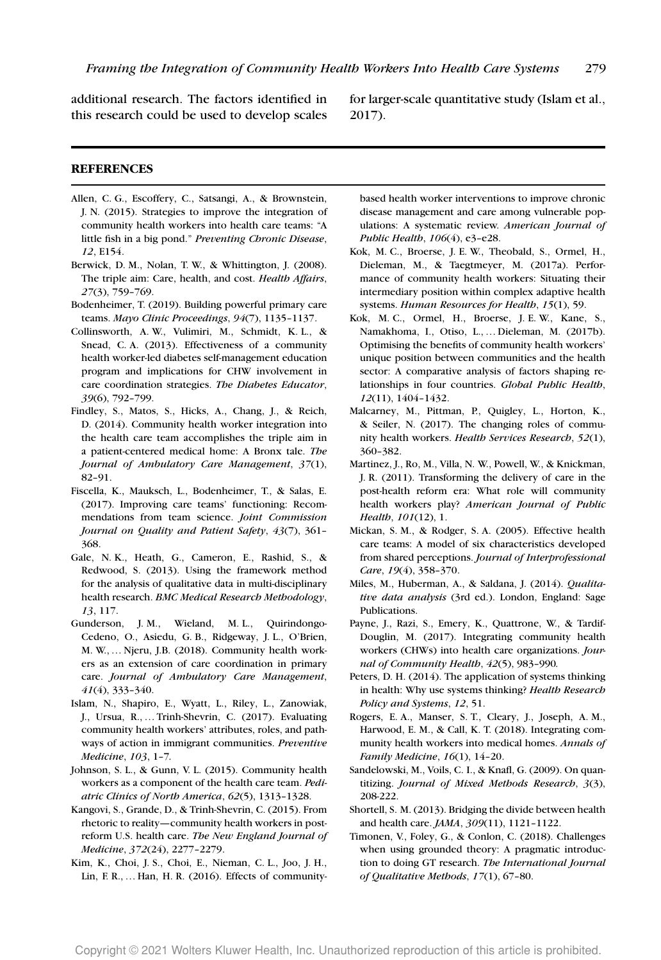additional research. The factors identified in this research could be used to develop scales

for larger-scale quantitative study (Islam et al., 2017).

#### **REFERENCES**

- Allen, C. G., Escoffery, C., Satsangi, A., & Brownstein, J. N. (2015). Strategies to improve the integration of community health workers into health care teams: "A little fish in a big pond." *Preventing Chronic Disease*, *12*, E154.
- Berwick, D. M., Nolan, T. W., & Whittington, J. (2008). The triple aim: Care, health, and cost. *Health Affairs*, *27*(3), 759–769.
- Bodenheimer, T. (2019). Building powerful primary care teams. *Mayo Clinic Proceedings*, *94*(7), 1135–1137.
- Collinsworth, A. W., Vulimiri, M., Schmidt, K. L., & Snead, C. A. (2013). Effectiveness of a community health worker-led diabetes self-management education program and implications for CHW involvement in care coordination strategies. *The Diabetes Educator*, *39*(6), 792–799.
- Findley, S., Matos, S., Hicks, A., Chang, J., & Reich, D. (2014). Community health worker integration into the health care team accomplishes the triple aim in a patient-centered medical home: A Bronx tale. *The Journal of Ambulatory Care Management*, *37*(1), 82–91.
- Fiscella, K., Mauksch, L., Bodenheimer, T., & Salas, E. (2017). Improving care teams' functioning: Recommendations from team science. *Joint Commission Journal on Quality and Patient Safety*, *43*(7), 361– 368.
- Gale, N. K., Heath, G., Cameron, E., Rashid, S., & Redwood, S. (2013). Using the framework method for the analysis of qualitative data in multi-disciplinary health research. *BMC Medical Research Methodology*, *13*, 117.
- Gunderson, J. M., Wieland, M. L., Quirindongo-Cedeno, O., Asiedu, G. B., Ridgeway, J. L., O'Brien, M. W., … Njeru, J.B. (2018). Community health workers as an extension of care coordination in primary care. *Journal of Ambulatory Care Management*, *41*(4), 333–340.
- Islam, N., Shapiro, E., Wyatt, L., Riley, L., Zanowiak, J., Ursua, R., … Trinh-Shevrin, C. (2017). Evaluating community health workers' attributes, roles, and pathways of action in immigrant communities. *Preventive Medicine*, *103*, 1–7*.*
- Johnson, S. L., & Gunn, V. L. (2015). Community health workers as a component of the health care team. *Pediatric Clinics of North America*, *62*(5), 1313–1328.
- Kangovi, S., Grande, D., & Trinh-Shevrin, C. (2015). From rhetoric to reality—community health workers in postreform U.S. health care. *The New England Journal of Medicine*, *372*(24), 2277–2279.
- Kim, K., Choi, J. S., Choi, E., Nieman, C. L., Joo, J. H., Lin, F. R., … Han, H. R. (2016). Effects of community-

based health worker interventions to improve chronic disease management and care among vulnerable populations: A systematic review. *American Journal of Public Health*, *106*(4), e3–e28.

- Kok, M. C., Broerse, J. E. W., Theobald, S., Ormel, H., Dieleman, M., & Taegtmeyer, M. (2017a). Performance of community health workers: Situating their intermediary position within complex adaptive health systems. *Human Resources for Health*, *15*(1), 59.
- Kok, M. C., Ormel, H., Broerse, J. E. W., Kane, S., Namakhoma, I., Otiso, L., … Dieleman, M. (2017b). Optimising the benefits of community health workers' unique position between communities and the health sector: A comparative analysis of factors shaping relationships in four countries. *Global Public Health*, *12*(11), 1404–1432.
- Malcarney, M., Pittman, P., Quigley, L., Horton, K., & Seiler, N. (2017). The changing roles of community health workers. *Health Services Research*, *52*(1), 360–382.
- Martinez, J., Ro, M., Villa, N. W., Powell, W., & Knickman, J. R. (2011). Transforming the delivery of care in the post-health reform era: What role will community health workers play? *American Journal of Public Health*, *101*(12), 1.
- Mickan, S. M., & Rodger, S. A. (2005). Effective health care teams: A model of six characteristics developed from shared perceptions. *Journal of Interprofessional Care*, *19*(4), 358–370.
- Miles, M., Huberman, A., & Saldana, J. (2014). *Qualitative data analysis* (3rd ed.). London, England: Sage Publications.
- Payne, J., Razi, S., Emery, K., Quattrone, W., & Tardif-Douglin, M. (2017). Integrating community health workers (CHWs) into health care organizations. *Journal of Community Health*, *42*(5), 983–990*.*
- Peters, D. H. (2014). The application of systems thinking in health: Why use systems thinking? *Health Research Policy and Systems*, *12*, 51.
- Rogers, E. A., Manser, S. T., Cleary, J., Joseph, A. M., Harwood, E. M., & Call, K. T. (2018). Integrating community health workers into medical homes. *Annals of Family Medicine*, *16*(1), 14–20.
- Sandelowski, M., Voils, C. I., & Knafl, G. (2009). On quantitizing. *Journal of Mixed Methods Research*, *3*(3), 208-222.
- Shortell, S. M. (2013). Bridging the divide between health and health care. *JAMA*, *309*(11), 1121–1122.
- Timonen, V., Foley, G., & Conlon, C. (2018). Challenges when using grounded theory: A pragmatic introduction to doing GT research. *The International Journal of Qualitative Methods*, *17*(1), 67–80.